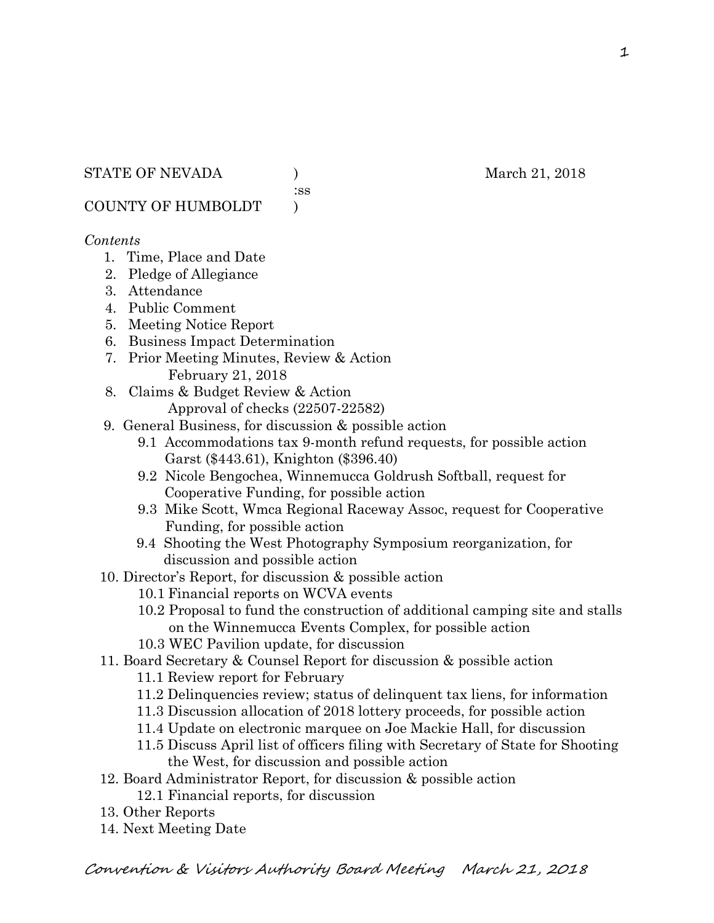:ss

COUNTY OF HUMBOLDT )

#### *Contents*

- 1. Time, Place and Date
- 2. Pledge of Allegiance
- 3. Attendance
- 4. Public Comment
- 5. Meeting Notice Report
- 6. Business Impact Determination
- 7. Prior Meeting Minutes, Review & Action February 21, 2018
- 8. Claims & Budget Review & Action
	- Approval of checks (22507-22582)
- 9. General Business, for discussion & possible action
	- 9.1 Accommodations tax 9-month refund requests, for possible action Garst (\$443.61), Knighton (\$396.40)
	- 9.2 Nicole Bengochea, Winnemucca Goldrush Softball, request for Cooperative Funding, for possible action
	- 9.3 Mike Scott, Wmca Regional Raceway Assoc, request for Cooperative Funding, for possible action
	- 9.4 Shooting the West Photography Symposium reorganization, for discussion and possible action
- 10. Director's Report, for discussion & possible action
	- 10.1 Financial reports on WCVA events
	- 10.2 Proposal to fund the construction of additional camping site and stalls on the Winnemucca Events Complex, for possible action
	- 10.3 WEC Pavilion update, for discussion
- 11. Board Secretary & Counsel Report for discussion & possible action
	- 11.1 Review report for February
	- 11.2 Delinquencies review; status of delinquent tax liens, for information
	- 11.3 Discussion allocation of 2018 lottery proceeds, for possible action
	- 11.4 Update on electronic marquee on Joe Mackie Hall, for discussion
	- 11.5 Discuss April list of officers filing with Secretary of State for Shooting the West, for discussion and possible action
- 12. Board Administrator Report, for discussion & possible action
	- 12.1 Financial reports, for discussion
- 13. Other Reports
- 14. Next Meeting Date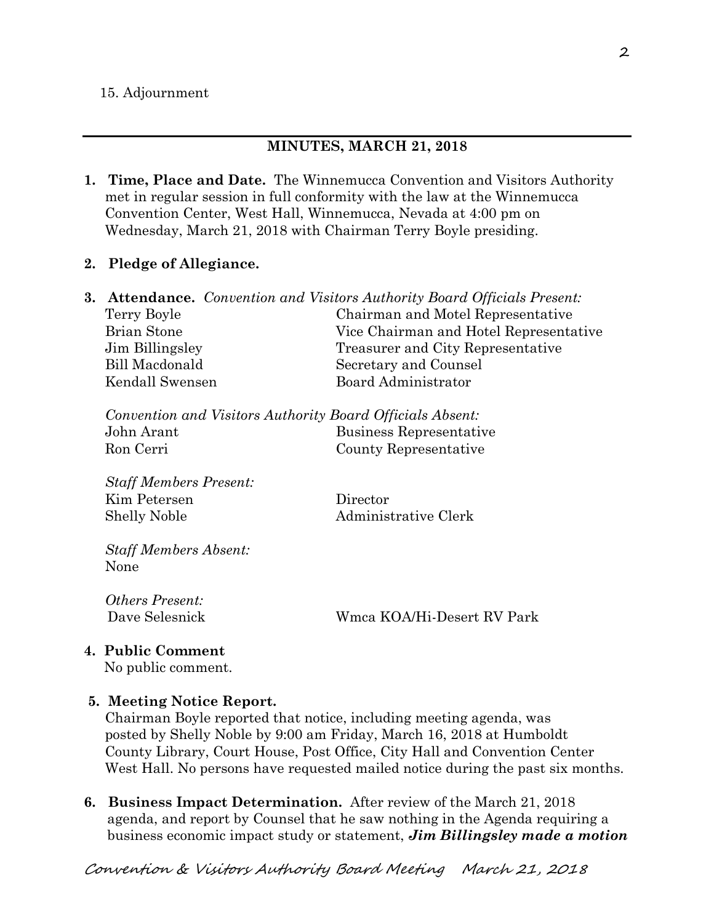#### 15. Adjournment

#### **MINUTES, MARCH 21, 2018**

**1. Time, Place and Date.** The Winnemucca Convention and Visitors Authority met in regular session in full conformity with the law at the Winnemucca Convention Center, West Hall, Winnemucca, Nevada at 4:00 pm on Wednesday, March 21, 2018 with Chairman Terry Boyle presiding.

#### **2. Pledge of Allegiance.**

|             | <b>3. Attendance.</b> Convention and Visitors Authority Board Officials Present: |
|-------------|----------------------------------------------------------------------------------|
| Terry Boyle | Chairman and Motel Representative                                                |
| Brian Stone | Vice Chairman and Hotel Representative                                           |
|             | Treasurer and City Representative                                                |
|             | Secretary and Counsel                                                            |
|             | Board Administrator                                                              |
|             | Jim Billingsley<br>Bill Macdonald<br>Kendall Swensen                             |

|            | Convention and Visitors Authority Board Officials Absent: |
|------------|-----------------------------------------------------------|
| John Arant | Business Representative                                   |
| Ron Cerri  | County Representative                                     |

*Staff Members Present:*  Kim Petersen Director Shelly Noble Administrative Clerk

*Staff Members Absent:*  None

*Others Present:* 

Dave Selesnick Wmca KOA/Hi-Desert RV Park

**4. Public Comment** 

No public comment.

#### **5. Meeting Notice Report.**

Chairman Boyle reported that notice, including meeting agenda, was posted by Shelly Noble by 9:00 am Friday, March 16, 2018 at Humboldt County Library, Court House, Post Office, City Hall and Convention Center West Hall. No persons have requested mailed notice during the past six months.

**6. Business Impact Determination.** After review of the March 21, 2018 agenda, and report by Counsel that he saw nothing in the Agenda requiring a business economic impact study or statement, *Jim Billingsley made a motion*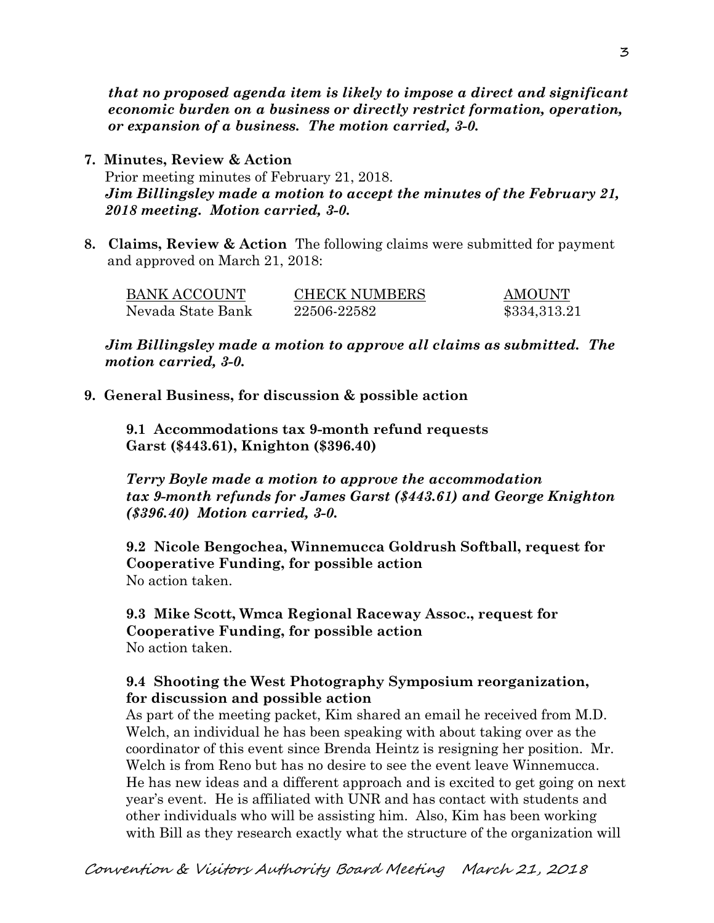*that no proposed agenda item is likely to impose a direct and significant economic burden on a business or directly restrict formation, operation, or expansion of a business. The motion carried, 3-0.* 

- **7. Minutes, Review & Action**  Prior meeting minutes of February 21, 2018. *Jim Billingsley made a motion to accept the minutes of the February 21, 2018 meeting. Motion carried, 3-0.*
- **8. Claims, Review & Action** The following claims were submitted for payment and approved on March 21, 2018:

| BANK ACCOUNT      | <b>CHECK NUMBERS</b> | AMOUNT       |
|-------------------|----------------------|--------------|
| Nevada State Bank | 22506-22582          | \$334,313.21 |

*Jim Billingsley made a motion to approve all claims as submitted. The motion carried, 3-0.* 

**9. General Business, for discussion & possible action** 

**9.1 Accommodations tax 9-month refund requests Garst (\$443.61), Knighton (\$396.40)** 

*Terry Boyle made a motion to approve the accommodation tax 9-month refunds for James Garst (\$443.61) and George Knighton (\$396.40) Motion carried, 3-0.*

**9.2 Nicole Bengochea, Winnemucca Goldrush Softball, request for Cooperative Funding, for possible action**  No action taken.

**9.3 Mike Scott, Wmca Regional Raceway Assoc., request for Cooperative Funding, for possible action**  No action taken.

### **9.4 Shooting the West Photography Symposium reorganization, for discussion and possible action**

As part of the meeting packet, Kim shared an email he received from M.D. Welch, an individual he has been speaking with about taking over as the coordinator of this event since Brenda Heintz is resigning her position. Mr. Welch is from Reno but has no desire to see the event leave Winnemucca. He has new ideas and a different approach and is excited to get going on next year's event. He is affiliated with UNR and has contact with students and other individuals who will be assisting him. Also, Kim has been working with Bill as they research exactly what the structure of the organization will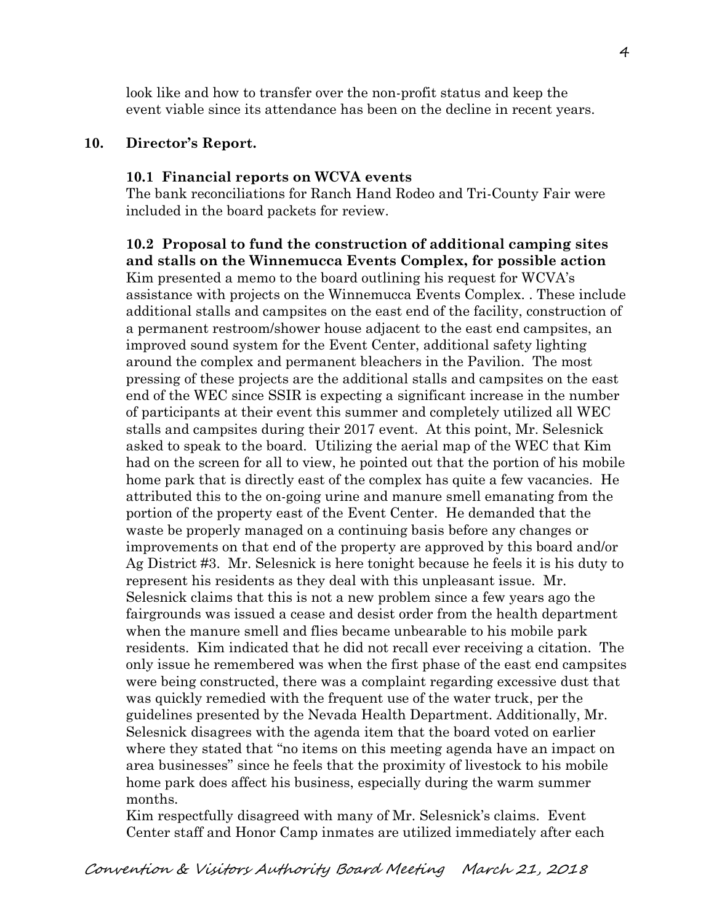look like and how to transfer over the non-profit status and keep the event viable since its attendance has been on the decline in recent years.

#### **10. Director's Report.**

#### **10.1 Financial reports on WCVA events**

The bank reconciliations for Ranch Hand Rodeo and Tri-County Fair were included in the board packets for review.

**10.2 Proposal to fund the construction of additional camping sites and stalls on the Winnemucca Events Complex, for possible action**  Kim presented a memo to the board outlining his request for WCVA's assistance with projects on the Winnemucca Events Complex. . These include additional stalls and campsites on the east end of the facility, construction of a permanent restroom/shower house adjacent to the east end campsites, an improved sound system for the Event Center, additional safety lighting around the complex and permanent bleachers in the Pavilion. The most pressing of these projects are the additional stalls and campsites on the east end of the WEC since SSIR is expecting a significant increase in the number of participants at their event this summer and completely utilized all WEC stalls and campsites during their 2017 event. At this point, Mr. Selesnick asked to speak to the board. Utilizing the aerial map of the WEC that Kim had on the screen for all to view, he pointed out that the portion of his mobile home park that is directly east of the complex has quite a few vacancies. He attributed this to the on-going urine and manure smell emanating from the portion of the property east of the Event Center. He demanded that the waste be properly managed on a continuing basis before any changes or improvements on that end of the property are approved by this board and/or Ag District #3. Mr. Selesnick is here tonight because he feels it is his duty to represent his residents as they deal with this unpleasant issue. Mr. Selesnick claims that this is not a new problem since a few years ago the fairgrounds was issued a cease and desist order from the health department when the manure smell and flies became unbearable to his mobile park residents. Kim indicated that he did not recall ever receiving a citation. The only issue he remembered was when the first phase of the east end campsites were being constructed, there was a complaint regarding excessive dust that was quickly remedied with the frequent use of the water truck, per the guidelines presented by the Nevada Health Department. Additionally, Mr. Selesnick disagrees with the agenda item that the board voted on earlier where they stated that "no items on this meeting agenda have an impact on area businesses" since he feels that the proximity of livestock to his mobile home park does affect his business, especially during the warm summer months.

Kim respectfully disagreed with many of Mr. Selesnick's claims. Event Center staff and Honor Camp inmates are utilized immediately after each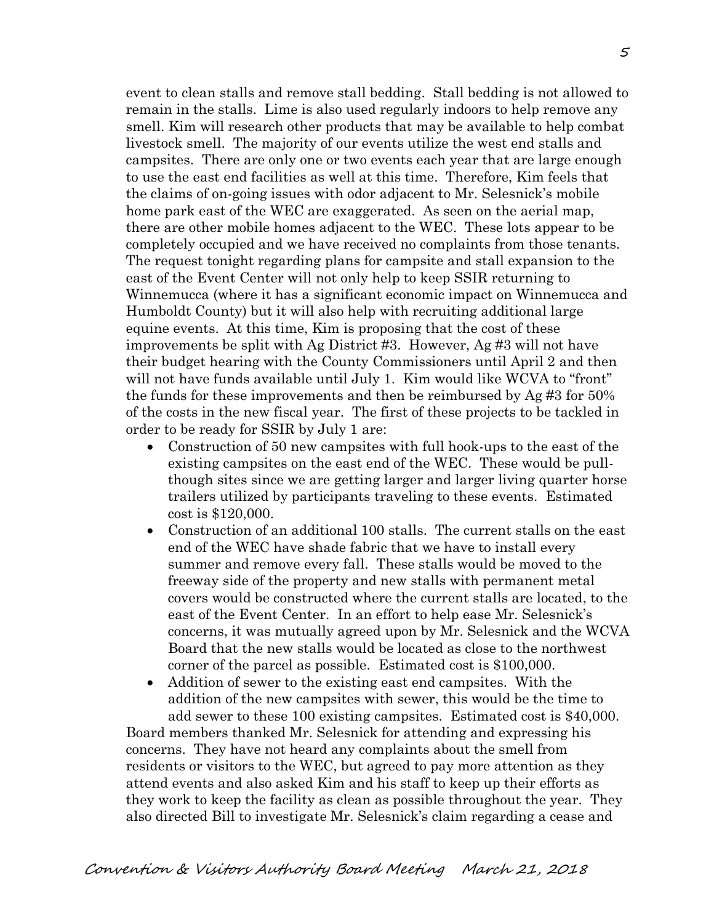event to clean stalls and remove stall bedding. Stall bedding is not allowed to remain in the stalls. Lime is also used regularly indoors to help remove any smell. Kim will research other products that may be available to help combat livestock smell. The majority of our events utilize the west end stalls and campsites. There are only one or two events each year that are large enough to use the east end facilities as well at this time. Therefore, Kim feels that the claims of on-going issues with odor adjacent to Mr. Selesnick's mobile home park east of the WEC are exaggerated. As seen on the aerial map, there are other mobile homes adjacent to the WEC. These lots appear to be completely occupied and we have received no complaints from those tenants. The request tonight regarding plans for campsite and stall expansion to the east of the Event Center will not only help to keep SSIR returning to Winnemucca (where it has a significant economic impact on Winnemucca and Humboldt County) but it will also help with recruiting additional large equine events. At this time, Kim is proposing that the cost of these improvements be split with Ag District #3. However, Ag #3 will not have their budget hearing with the County Commissioners until April 2 and then will not have funds available until July 1. Kim would like WCVA to "front" the funds for these improvements and then be reimbursed by Ag #3 for 50% of the costs in the new fiscal year. The first of these projects to be tackled in order to be ready for SSIR by July 1 are:

- Construction of 50 new campsites with full hook-ups to the east of the existing campsites on the east end of the WEC. These would be pullthough sites since we are getting larger and larger living quarter horse trailers utilized by participants traveling to these events. Estimated cost is \$120,000.
- Construction of an additional 100 stalls. The current stalls on the east end of the WEC have shade fabric that we have to install every summer and remove every fall. These stalls would be moved to the freeway side of the property and new stalls with permanent metal covers would be constructed where the current stalls are located, to the east of the Event Center. In an effort to help ease Mr. Selesnick's concerns, it was mutually agreed upon by Mr. Selesnick and the WCVA Board that the new stalls would be located as close to the northwest corner of the parcel as possible. Estimated cost is \$100,000.
- Addition of sewer to the existing east end campsites. With the addition of the new campsites with sewer, this would be the time to add sewer to these 100 existing campsites. Estimated cost is \$40,000.

Board members thanked Mr. Selesnick for attending and expressing his concerns. They have not heard any complaints about the smell from residents or visitors to the WEC, but agreed to pay more attention as they attend events and also asked Kim and his staff to keep up their efforts as they work to keep the facility as clean as possible throughout the year. They also directed Bill to investigate Mr. Selesnick's claim regarding a cease and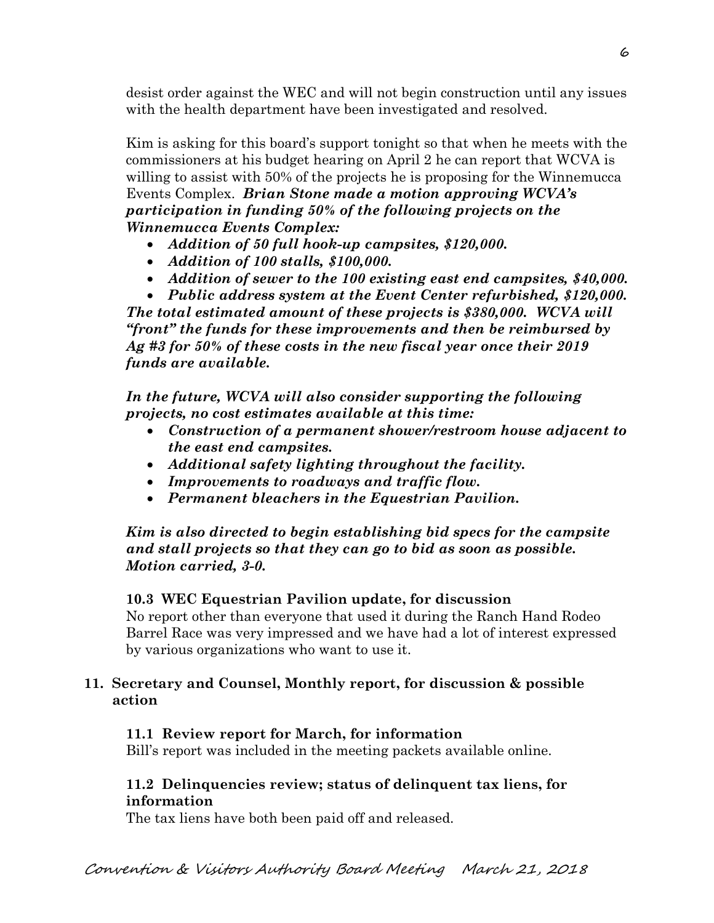desist order against the WEC and will not begin construction until any issues with the health department have been investigated and resolved.

Kim is asking for this board's support tonight so that when he meets with the commissioners at his budget hearing on April 2 he can report that WCVA is willing to assist with 50% of the projects he is proposing for the Winnemucca Events Complex. *Brian Stone made a motion approving WCVA's participation in funding 50% of the following projects on the Winnemucca Events Complex:* 

- *Addition of 50 full hook-up campsites, \$120,000.*
- *Addition of 100 stalls, \$100,000.*
- *Addition of sewer to the 100 existing east end campsites, \$40,000.*

 *Public address system at the Event Center refurbished, \$120,000. The total estimated amount of these projects is \$380,000. WCVA will "front" the funds for these improvements and then be reimbursed by Ag #3 for 50% of these costs in the new fiscal year once their 2019 funds are available.* 

*In the future, WCVA will also consider supporting the following projects, no cost estimates available at this time:* 

- *Construction of a permanent shower/restroom house adjacent to the east end campsites.*
- *Additional safety lighting throughout the facility.*
- *Improvements to roadways and traffic flow.*
- *Permanent bleachers in the Equestrian Pavilion.*

*Kim is also directed to begin establishing bid specs for the campsite and stall projects so that they can go to bid as soon as possible. Motion carried, 3-0.*

# **10.3 WEC Equestrian Pavilion update, for discussion**

No report other than everyone that used it during the Ranch Hand Rodeo Barrel Race was very impressed and we have had a lot of interest expressed by various organizations who want to use it.

# **11. Secretary and Counsel, Monthly report, for discussion & possible action**

# **11.1 Review report for March, for information**

Bill's report was included in the meeting packets available online.

### **11.2 Delinquencies review; status of delinquent tax liens, for information**

The tax liens have both been paid off and released.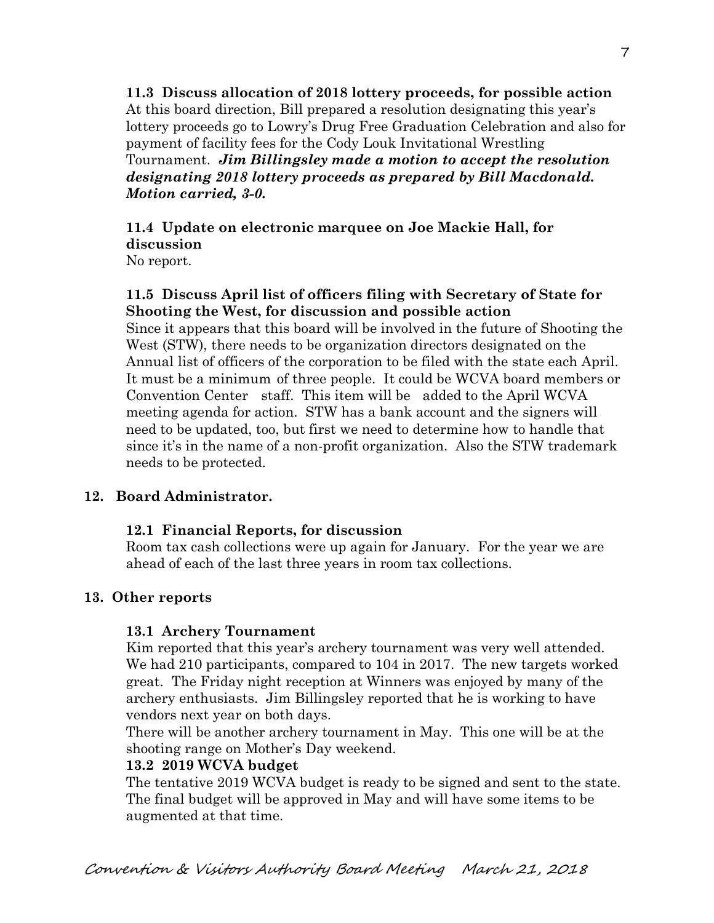**11.3 Discuss allocation of 2018 lottery proceeds, for possible action**  At this board direction, Bill prepared a resolution designating this year's lottery proceeds go to Lowry's Drug Free Graduation Celebration and also for payment of facility fees for the Cody Louk Invitational Wrestling Tournament. *Jim Billingsley made a motion to accept the resolution designating 2018 lottery proceeds as prepared by Bill Macdonald. Motion carried, 3-0.* 

**11.4 Update on electronic marquee on Joe Mackie Hall, for discussion**  No report.

### **11.5 Discuss April list of officers filing with Secretary of State for Shooting the West, for discussion and possible action**

Since it appears that this board will be involved in the future of Shooting the West (STW), there needs to be organization directors designated on the Annual list of officers of the corporation to be filed with the state each April. It must be a minimum of three people. It could be WCVA board members or Convention Center staff. This item will be added to the April WCVA meeting agenda for action. STW has a bank account and the signers will need to be updated, too, but first we need to determine how to handle that since it's in the name of a non-profit organization. Also the STW trademark needs to be protected.

# **12. Board Administrator.**

# **12.1 Financial Reports, for discussion**

Room tax cash collections were up again for January. For the year we are ahead of each of the last three years in room tax collections.

# **13. Other reports**

# **13.1 Archery Tournament**

Kim reported that this year's archery tournament was very well attended. We had 210 participants, compared to 104 in 2017. The new targets worked great. The Friday night reception at Winners was enjoyed by many of the archery enthusiasts. Jim Billingsley reported that he is working to have vendors next year on both days.

There will be another archery tournament in May. This one will be at the shooting range on Mother's Day weekend.

# **13.2 2019 WCVA budget**

The tentative 2019 WCVA budget is ready to be signed and sent to the state. The final budget will be approved in May and will have some items to be augmented at that time.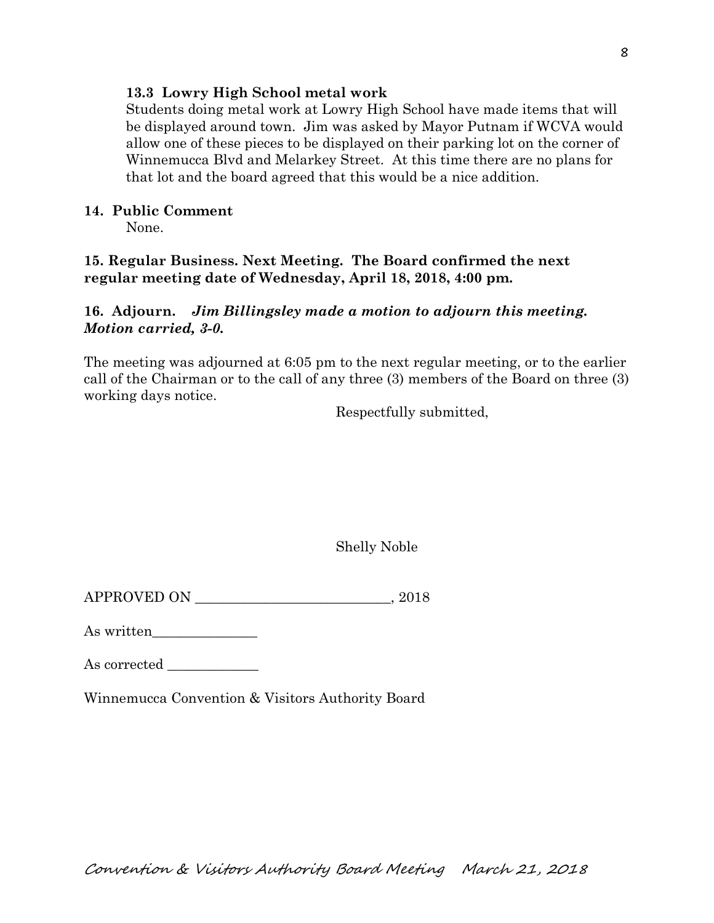#### **13.3 Lowry High School metal work**

Students doing metal work at Lowry High School have made items that will be displayed around town. Jim was asked by Mayor Putnam if WCVA would allow one of these pieces to be displayed on their parking lot on the corner of Winnemucca Blvd and Melarkey Street. At this time there are no plans for that lot and the board agreed that this would be a nice addition.

### **14. Public Comment**

None.

### **15. Regular Business. Next Meeting. The Board confirmed the next regular meeting date of Wednesday, April 18, 2018, 4:00 pm.**

### **16. Adjourn.** *Jim Billingsley made a motion to adjourn this meeting. Motion carried, 3-0.*

The meeting was adjourned at 6:05 pm to the next regular meeting, or to the earlier call of the Chairman or to the call of any three (3) members of the Board on three (3) working days notice.

Respectfully submitted,

Shelly Noble

APPROVED ON  $, 2018$ 

As written\_\_\_\_\_\_\_\_\_\_\_\_\_\_\_

As corrected \_\_\_\_\_\_\_\_\_\_\_\_\_

Winnemucca Convention & Visitors Authority Board